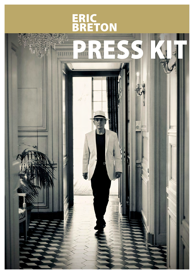## ERIC **BRETON**

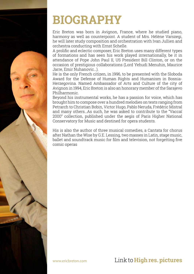

## **BIOGRAPHY**

Eric Breton was born in Avignon, France, where he studied piano, harmony as well as counterpoint. A student of Mrs. Hélène Varszegi, he will later study composition and orchestration with Ivan Jullien and orchestra conducting with Ernst Schelle.

A prolific and eclectic composer, Eric Breton uses many different types of formations and has seen his work played internationally, be it in attendance of Pope John Paul II, US President Bill Clinton, or on the occasion of prestigious collaborations (Lord Yehudi Menuhin, Maurice Jarre, Emir Nuhanovic…).

He is the only French citizen, in 1996, to be presented with the Sloboda Award for the Defense of Human Rights and Humanism in Bosnia-Herzegovina. Named Ambassador of Arts and Culture of the city of Avignon in 1994, Eric Breton is also an honorary member of the Sarajevo Philharmonic.

Beyond his instrumental works, he has a passion for voice, which has brought him to compose over a hundred melodies on texts ranging from Petrarch to Christian Bobin, Victor Hugo, Pablo Neruda, Frédéric Mistral and many others…As such, he was asked to contribute to the "Vaccaï 2000" collection, published under the aegis of Paris Higher National Conservatory for Music and destined for opera students.

His is also the author of three musical comedies, a Cantata for chorus after Nathan the Wise by G.E. Lessing, two masses in Latin, stage music, ballet and soundtrack music for film and television, not forgetting five comic operas

[www.ericbreton.com](http://www.ericbreton.com) Link to **[High res. pictures](https://www.ericbreton.com/photos-hd?lang=en)**